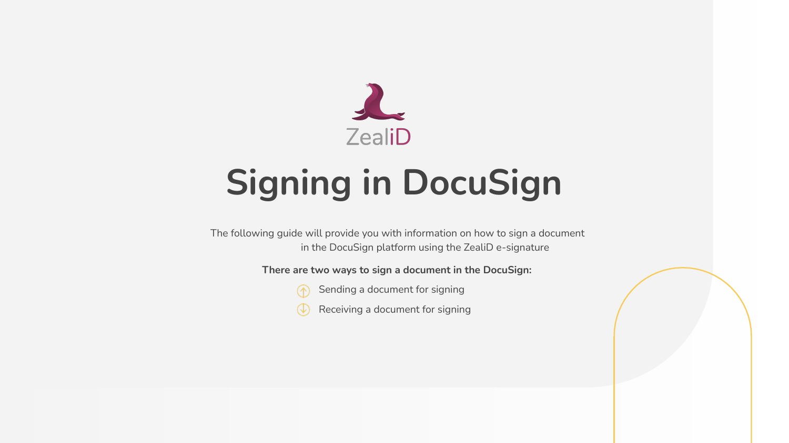

# **Signing in DocuSign**

The following guide will provide you with information on how to sign a document in the DocuSign platform using the ZealiD e-signature

**There are two ways to sign a document in the DocuSign:**



Sending a document for signing

Receiving a document for signing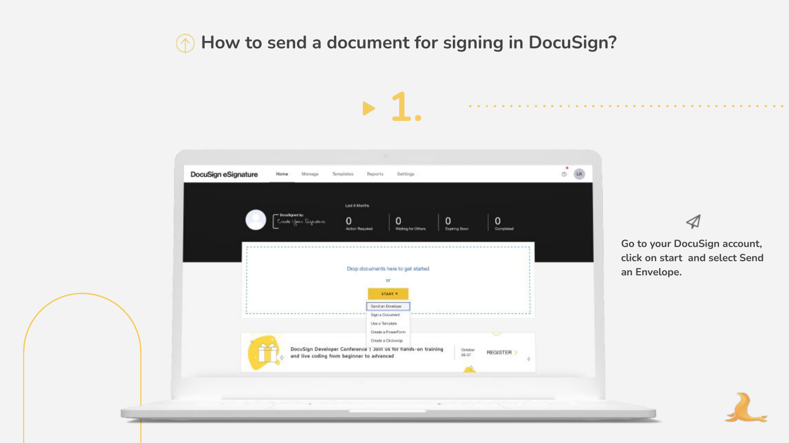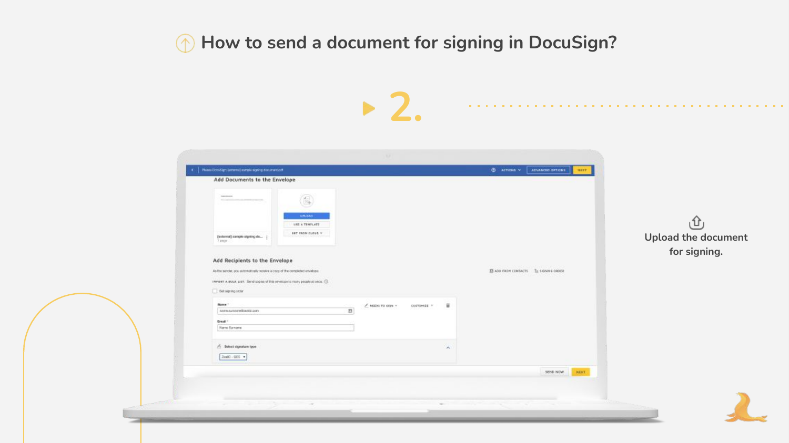|                                                                                                                                                                                   |                                    | <b>STATE</b>                                                    |                                                      |                          |
|-----------------------------------------------------------------------------------------------------------------------------------------------------------------------------------|------------------------------------|-----------------------------------------------------------------|------------------------------------------------------|--------------------------|
| Please DoouSign; (entertail extrate ageing document coll<br>Add Documents to the Envelope                                                                                         |                                    |                                                                 | <b>O ACTIONS *</b> ADVANCED OFFICIAL<br><b>HERT.</b> |                          |
| <b>SHERING</b>                                                                                                                                                                    | 包<br>URLEAD -                      |                                                                 |                                                      |                          |
| [solarital] sample signing do<br>1 percent                                                                                                                                        | USE & TEHPLATE<br>BET FROM CLOSE T |                                                                 |                                                      | ⊕<br>Upload the document |
| Add Recipients to the Envelope                                                                                                                                                    |                                    |                                                                 |                                                      | for signing.             |
| As the sender, you automatically receive a copy of the completed envelope.<br>INVOST A WALK, LIST. Send oppins of this covetage to many people at once. (2)<br>Get signing critic |                                    |                                                                 | El Alo Fade CONTACTS El SIGNING GROER                |                          |
| Maxim <sup>1</sup><br>ANPA Automobilitatis com                                                                                                                                    | E                                  | $\ell$ milles to sales $\tau$ :<br>CUSTOMES *<br>$\overline{u}$ |                                                      |                          |
| Draft 1<br>Nane Sanare                                                                                                                                                            |                                    |                                                                 |                                                      |                          |
| $\sqrt{ }$ Select signature type<br>$2000 - 005$ $+$                                                                                                                              |                                    | $\sim$                                                          |                                                      |                          |
|                                                                                                                                                                                   |                                    |                                                                 | SEND NOW<br>NEXT                                     |                          |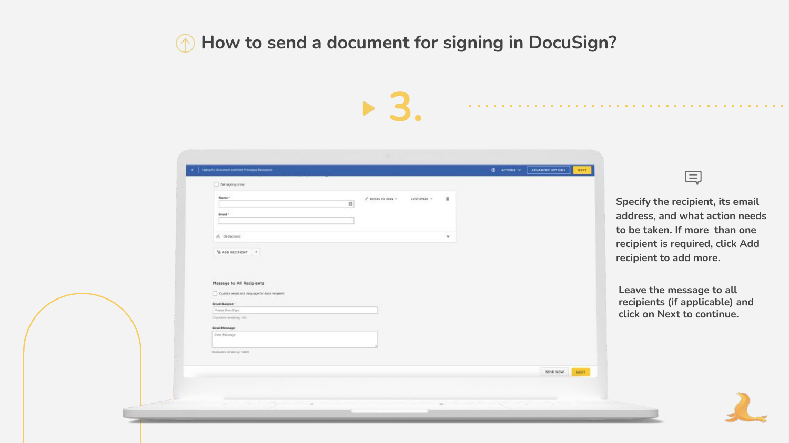| alload a Document and Add Envelope Recovers<br>ADVANCED OFTIONS<br>$@$ <i>METIONS</i> $*$<br><b>NEET</b><br>三<br>Be saying order<br>Name:<br>$\ell'$ hereas no seps $-$<br><b>CUSTOMER</b><br>$\overline{\mathbf{a}}$<br>E)<br><b>Erned</b> 1<br>$A$ 16 Gamme<br>$\sim$<br>$4440$ REGIST $+$<br>recipient to add more.<br>Message to All Recipients<br>Custom what and require for each request:<br><b>Braid Bubject</b> *<br>Priese Doculture<br>Elha Advis (Militaring, 1932)<br><b>Email Message</b><br><b>Ever Mercape</b> | Specify the recipient, its email<br>address, and what action needs<br>to be taken. If more than one<br>recipient is required, click Add<br>Leave the message to all<br>recipients (if applicable) and<br>click on Next to continue. |  |  |  |  |
|--------------------------------------------------------------------------------------------------------------------------------------------------------------------------------------------------------------------------------------------------------------------------------------------------------------------------------------------------------------------------------------------------------------------------------------------------------------------------------------------------------------------------------|-------------------------------------------------------------------------------------------------------------------------------------------------------------------------------------------------------------------------------------|--|--|--|--|
|                                                                                                                                                                                                                                                                                                                                                                                                                                                                                                                                |                                                                                                                                                                                                                                     |  |  |  |  |
|                                                                                                                                                                                                                                                                                                                                                                                                                                                                                                                                |                                                                                                                                                                                                                                     |  |  |  |  |
|                                                                                                                                                                                                                                                                                                                                                                                                                                                                                                                                |                                                                                                                                                                                                                                     |  |  |  |  |
|                                                                                                                                                                                                                                                                                                                                                                                                                                                                                                                                |                                                                                                                                                                                                                                     |  |  |  |  |
|                                                                                                                                                                                                                                                                                                                                                                                                                                                                                                                                |                                                                                                                                                                                                                                     |  |  |  |  |
|                                                                                                                                                                                                                                                                                                                                                                                                                                                                                                                                |                                                                                                                                                                                                                                     |  |  |  |  |
|                                                                                                                                                                                                                                                                                                                                                                                                                                                                                                                                |                                                                                                                                                                                                                                     |  |  |  |  |
|                                                                                                                                                                                                                                                                                                                                                                                                                                                                                                                                |                                                                                                                                                                                                                                     |  |  |  |  |
|                                                                                                                                                                                                                                                                                                                                                                                                                                                                                                                                |                                                                                                                                                                                                                                     |  |  |  |  |
|                                                                                                                                                                                                                                                                                                                                                                                                                                                                                                                                |                                                                                                                                                                                                                                     |  |  |  |  |
|                                                                                                                                                                                                                                                                                                                                                                                                                                                                                                                                |                                                                                                                                                                                                                                     |  |  |  |  |
|                                                                                                                                                                                                                                                                                                                                                                                                                                                                                                                                |                                                                                                                                                                                                                                     |  |  |  |  |
|                                                                                                                                                                                                                                                                                                                                                                                                                                                                                                                                |                                                                                                                                                                                                                                     |  |  |  |  |
|                                                                                                                                                                                                                                                                                                                                                                                                                                                                                                                                |                                                                                                                                                                                                                                     |  |  |  |  |
|                                                                                                                                                                                                                                                                                                                                                                                                                                                                                                                                |                                                                                                                                                                                                                                     |  |  |  |  |
|                                                                                                                                                                                                                                                                                                                                                                                                                                                                                                                                |                                                                                                                                                                                                                                     |  |  |  |  |
|                                                                                                                                                                                                                                                                                                                                                                                                                                                                                                                                |                                                                                                                                                                                                                                     |  |  |  |  |
| Characters refusering 19803                                                                                                                                                                                                                                                                                                                                                                                                                                                                                                    |                                                                                                                                                                                                                                     |  |  |  |  |
|                                                                                                                                                                                                                                                                                                                                                                                                                                                                                                                                |                                                                                                                                                                                                                                     |  |  |  |  |
|                                                                                                                                                                                                                                                                                                                                                                                                                                                                                                                                |                                                                                                                                                                                                                                     |  |  |  |  |
|                                                                                                                                                                                                                                                                                                                                                                                                                                                                                                                                |                                                                                                                                                                                                                                     |  |  |  |  |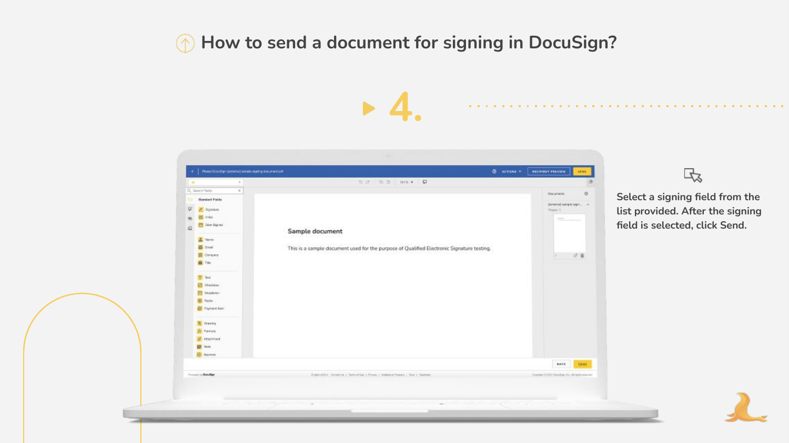**4.**



 $\mathbb{R}$ 

**Select a signing field from the list provided. After the signing field is selected, click Send.**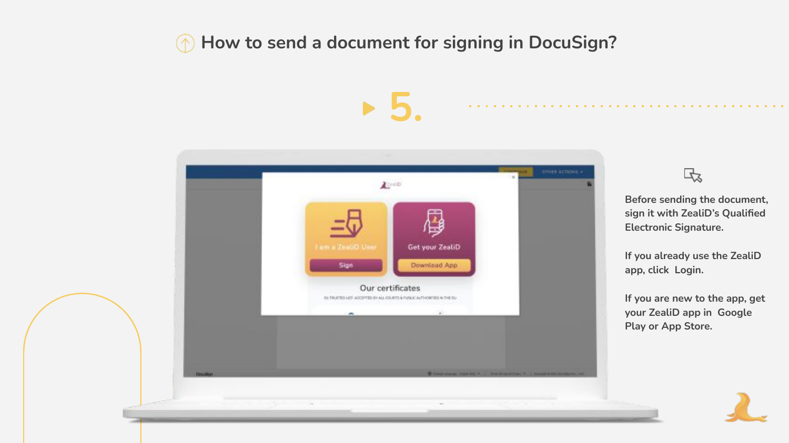**5.**



氐

**Before sending the document, sign it with ZealiD's Qualified Electronic Signature.** 

**If you already use the ZealiD app, click Login.** 

**If you are new to the app, get your ZealiD app in Google Play or App Store.**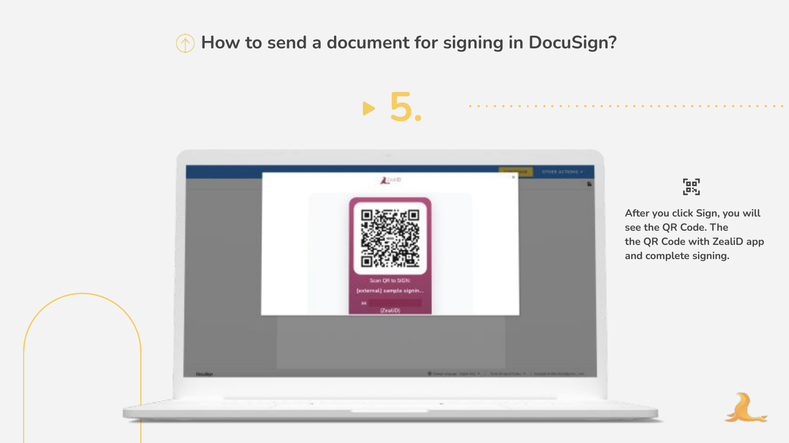**5.**



 $\begin{bmatrix} 0 & 0 \\ 0 & 0 \end{bmatrix}$ 

**After you click Sign, you will see the QR Code. The the QR Code with ZealiD app and complete signing.**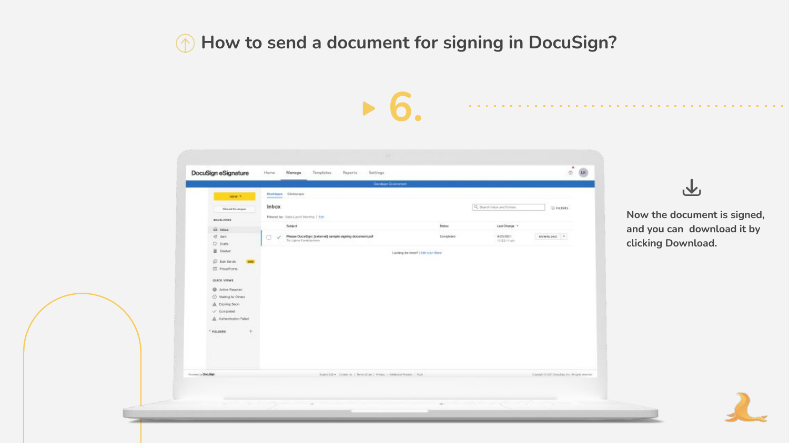

**Now the document is signed, and you can download it by clicking Download.**

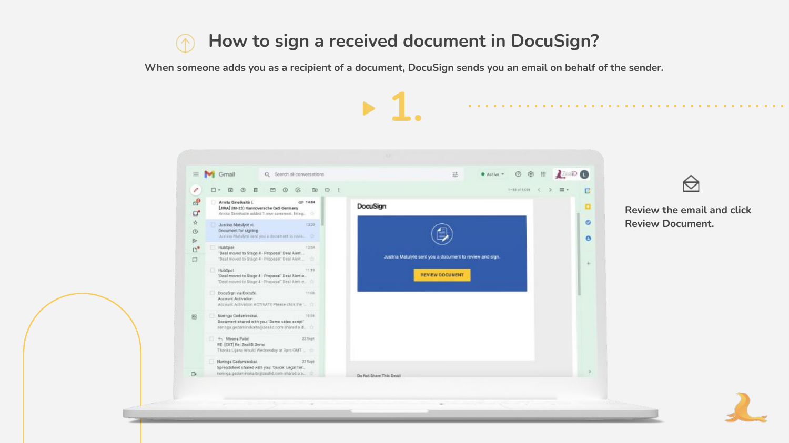# **How to sign a received document in DocuSign?**

**When someone adds you as a recipient of a document, DocuSign sends you an email on behalf of the sender.**

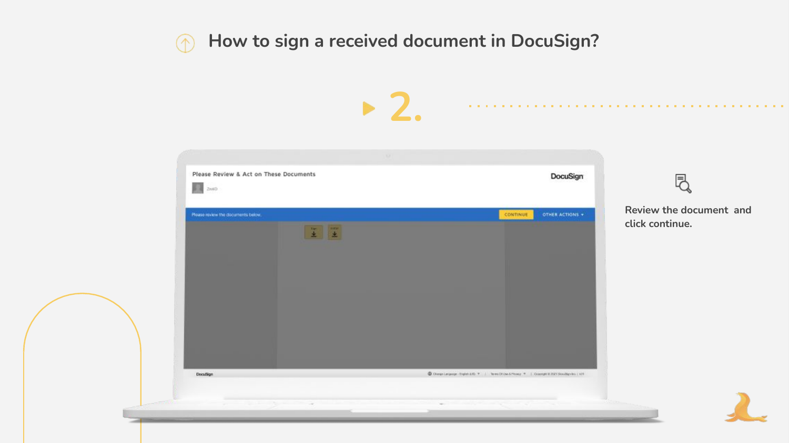# **How to sign a received document in DocuSign?**

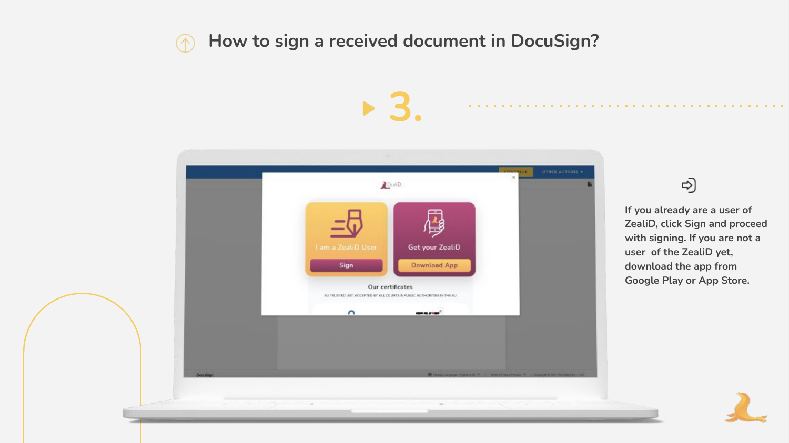# **How to sign a received document in DocuSign?**

**3.**



#### ಳು)

**If you already are a user of ZealiD, click Sign and proceed with signing. If you are not a user of the ZealiD yet, download the app from Google Play or App Store.**